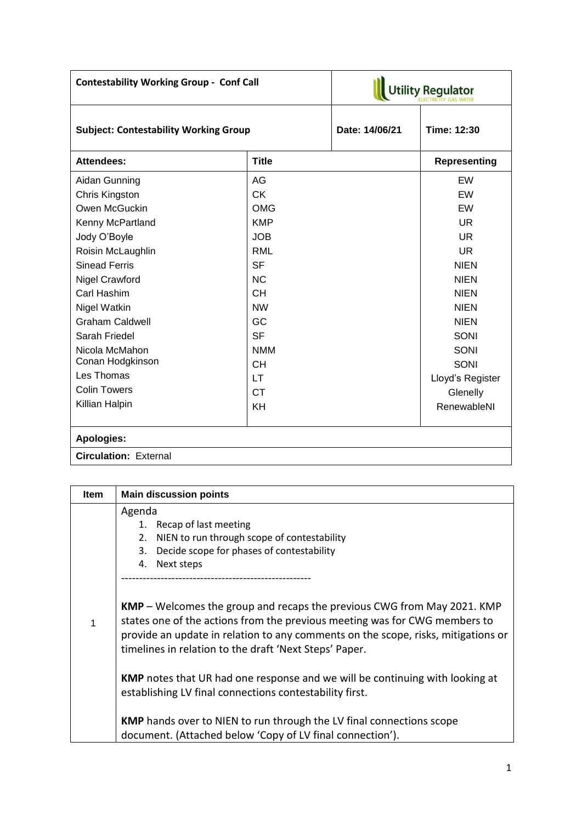| <b>Contestability Working Group - Conf Call</b> |              | <b>Utility Regulator</b> |                     |  |
|-------------------------------------------------|--------------|--------------------------|---------------------|--|
| <b>Subject: Contestability Working Group</b>    |              | Date: 14/06/21           | Time: 12:30         |  |
| <b>Attendees:</b>                               | <b>Title</b> |                          | <b>Representing</b> |  |
| Aidan Gunning                                   | AG           |                          | EW                  |  |
| Chris Kingston                                  | <b>CK</b>    |                          | EW                  |  |
| Owen McGuckin                                   | <b>OMG</b>   |                          | EW                  |  |
| Kenny McPartland                                | <b>KMP</b>   |                          | UR                  |  |
| Jody O'Boyle                                    | <b>JOB</b>   |                          | UR                  |  |
| Roisin McLaughlin                               | <b>RML</b>   |                          | <b>UR</b>           |  |
| <b>Sinead Ferris</b>                            | <b>SF</b>    |                          | <b>NIEN</b>         |  |
| Nigel Crawford                                  | <b>NC</b>    |                          | <b>NIEN</b>         |  |
| Carl Hashim                                     | <b>CH</b>    |                          | <b>NIEN</b>         |  |
| Nigel Watkin                                    | <b>NW</b>    |                          | <b>NIEN</b>         |  |
| <b>Graham Caldwell</b>                          | GC           |                          | <b>NIEN</b>         |  |
| Sarah Friedel                                   | <b>SF</b>    |                          | SONI                |  |
| Nicola McMahon                                  | <b>NMM</b>   |                          | SONI                |  |
| Conan Hodgkinson                                | <b>CH</b>    |                          | SONI                |  |
| Les Thomas                                      | <b>LT</b>    |                          | Lloyd's Register    |  |
| <b>Colin Towers</b>                             | <b>CT</b>    |                          | Glenelly            |  |
| Killian Halpin                                  | KH           |                          | RenewableNI         |  |
| Apologies:                                      |              |                          |                     |  |
| <b>Circulation: External</b>                    |              |                          |                     |  |

| <b>Item</b> | <b>Main discussion points</b>                                                                                                                                                                                                                                                                               |
|-------------|-------------------------------------------------------------------------------------------------------------------------------------------------------------------------------------------------------------------------------------------------------------------------------------------------------------|
|             | Agenda<br>1. Recap of last meeting<br>NIEN to run through scope of contestability<br>2.<br>Decide scope for phases of contestability<br>3.<br>Next steps<br>4.                                                                                                                                              |
| 1           | <b>KMP</b> – Welcomes the group and recaps the previous CWG from May 2021. KMP<br>states one of the actions from the previous meeting was for CWG members to<br>provide an update in relation to any comments on the scope, risks, mitigations or<br>timelines in relation to the draft 'Next Steps' Paper. |
|             | <b>KMP</b> notes that UR had one response and we will be continuing with looking at<br>establishing LV final connections contestability first.                                                                                                                                                              |
|             | <b>KMP</b> hands over to NIEN to run through the LV final connections scope<br>document. (Attached below 'Copy of LV final connection').                                                                                                                                                                    |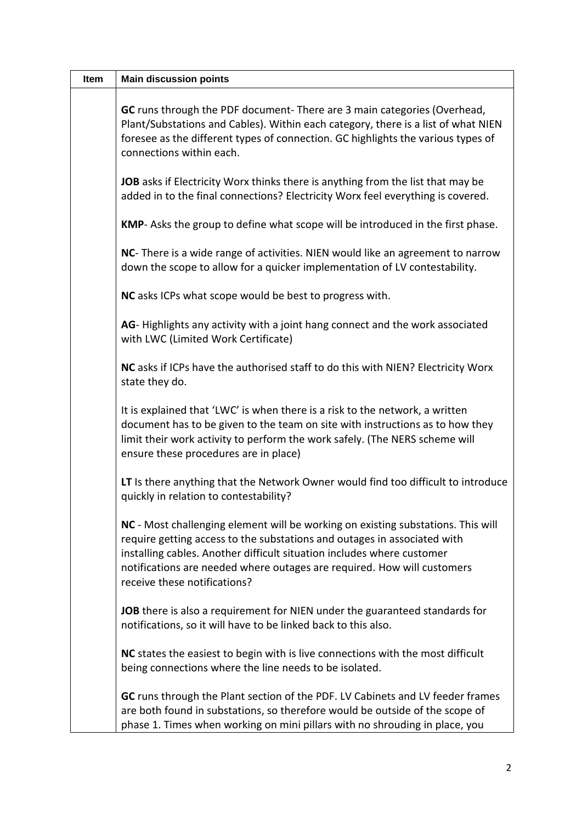| Item | <b>Main discussion points</b>                                                                                                                                                                                                                                                                                                                     |
|------|---------------------------------------------------------------------------------------------------------------------------------------------------------------------------------------------------------------------------------------------------------------------------------------------------------------------------------------------------|
|      | GC runs through the PDF document- There are 3 main categories (Overhead,<br>Plant/Substations and Cables). Within each category, there is a list of what NIEN<br>foresee as the different types of connection. GC highlights the various types of<br>connections within each.                                                                     |
|      | JOB asks if Electricity Worx thinks there is anything from the list that may be<br>added in to the final connections? Electricity Worx feel everything is covered.                                                                                                                                                                                |
|      | KMP- Asks the group to define what scope will be introduced in the first phase.                                                                                                                                                                                                                                                                   |
|      | NC- There is a wide range of activities. NIEN would like an agreement to narrow<br>down the scope to allow for a quicker implementation of LV contestability.                                                                                                                                                                                     |
|      | NC asks ICPs what scope would be best to progress with.                                                                                                                                                                                                                                                                                           |
|      | AG-Highlights any activity with a joint hang connect and the work associated<br>with LWC (Limited Work Certificate)                                                                                                                                                                                                                               |
|      | NC asks if ICPs have the authorised staff to do this with NIEN? Electricity Worx<br>state they do.                                                                                                                                                                                                                                                |
|      | It is explained that 'LWC' is when there is a risk to the network, a written<br>document has to be given to the team on site with instructions as to how they<br>limit their work activity to perform the work safely. (The NERS scheme will<br>ensure these procedures are in place)                                                             |
|      | LT Is there anything that the Network Owner would find too difficult to introduce<br>quickly in relation to contestability?                                                                                                                                                                                                                       |
|      | NC - Most challenging element will be working on existing substations. This will<br>require getting access to the substations and outages in associated with<br>installing cables. Another difficult situation includes where customer<br>notifications are needed where outages are required. How will customers<br>receive these notifications? |
|      | JOB there is also a requirement for NIEN under the guaranteed standards for<br>notifications, so it will have to be linked back to this also.                                                                                                                                                                                                     |
|      | NC states the easiest to begin with is live connections with the most difficult<br>being connections where the line needs to be isolated.                                                                                                                                                                                                         |
|      | GC runs through the Plant section of the PDF. LV Cabinets and LV feeder frames<br>are both found in substations, so therefore would be outside of the scope of<br>phase 1. Times when working on mini pillars with no shrouding in place, you                                                                                                     |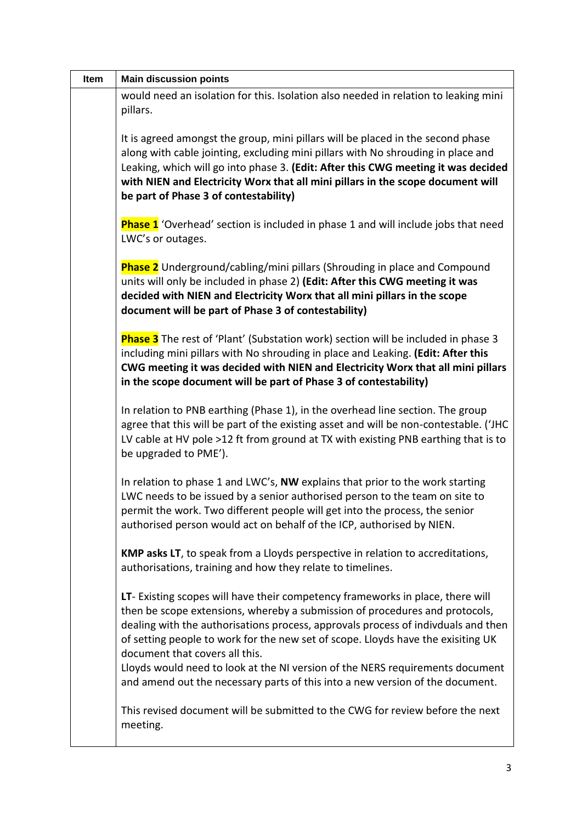| Item | <b>Main discussion points</b>                                                                                                                                                                                                                                                                                                                                                                                                                                                                                                              |
|------|--------------------------------------------------------------------------------------------------------------------------------------------------------------------------------------------------------------------------------------------------------------------------------------------------------------------------------------------------------------------------------------------------------------------------------------------------------------------------------------------------------------------------------------------|
|      | would need an isolation for this. Isolation also needed in relation to leaking mini<br>pillars.                                                                                                                                                                                                                                                                                                                                                                                                                                            |
|      | It is agreed amongst the group, mini pillars will be placed in the second phase<br>along with cable jointing, excluding mini pillars with No shrouding in place and<br>Leaking, which will go into phase 3. (Edit: After this CWG meeting it was decided<br>with NIEN and Electricity Worx that all mini pillars in the scope document will<br>be part of Phase 3 of contestability)                                                                                                                                                       |
|      | Phase 1 'Overhead' section is included in phase 1 and will include jobs that need<br>LWC's or outages.                                                                                                                                                                                                                                                                                                                                                                                                                                     |
|      | <b>Phase 2</b> Underground/cabling/mini pillars (Shrouding in place and Compound<br>units will only be included in phase 2) (Edit: After this CWG meeting it was<br>decided with NIEN and Electricity Worx that all mini pillars in the scope<br>document will be part of Phase 3 of contestability)                                                                                                                                                                                                                                       |
|      | <b>Phase 3</b> The rest of 'Plant' (Substation work) section will be included in phase 3<br>including mini pillars with No shrouding in place and Leaking. (Edit: After this<br>CWG meeting it was decided with NIEN and Electricity Worx that all mini pillars<br>in the scope document will be part of Phase 3 of contestability)                                                                                                                                                                                                        |
|      | In relation to PNB earthing (Phase 1), in the overhead line section. The group<br>agree that this will be part of the existing asset and will be non-contestable. ('JHC<br>LV cable at HV pole >12 ft from ground at TX with existing PNB earthing that is to<br>be upgraded to PME').                                                                                                                                                                                                                                                     |
|      | In relation to phase 1 and LWC's, NW explains that prior to the work starting<br>LWC needs to be issued by a senior authorised person to the team on site to<br>permit the work. Two different people will get into the process, the senior<br>authorised person would act on behalf of the ICP, authorised by NIEN.                                                                                                                                                                                                                       |
|      | KMP asks LT, to speak from a Lloyds perspective in relation to accreditations,<br>authorisations, training and how they relate to timelines.                                                                                                                                                                                                                                                                                                                                                                                               |
|      | LT- Existing scopes will have their competency frameworks in place, there will<br>then be scope extensions, whereby a submission of procedures and protocols,<br>dealing with the authorisations process, approvals process of indivduals and then<br>of setting people to work for the new set of scope. Lloyds have the exisiting UK<br>document that covers all this.<br>Lloyds would need to look at the NI version of the NERS requirements document<br>and amend out the necessary parts of this into a new version of the document. |
|      | This revised document will be submitted to the CWG for review before the next<br>meeting.                                                                                                                                                                                                                                                                                                                                                                                                                                                  |